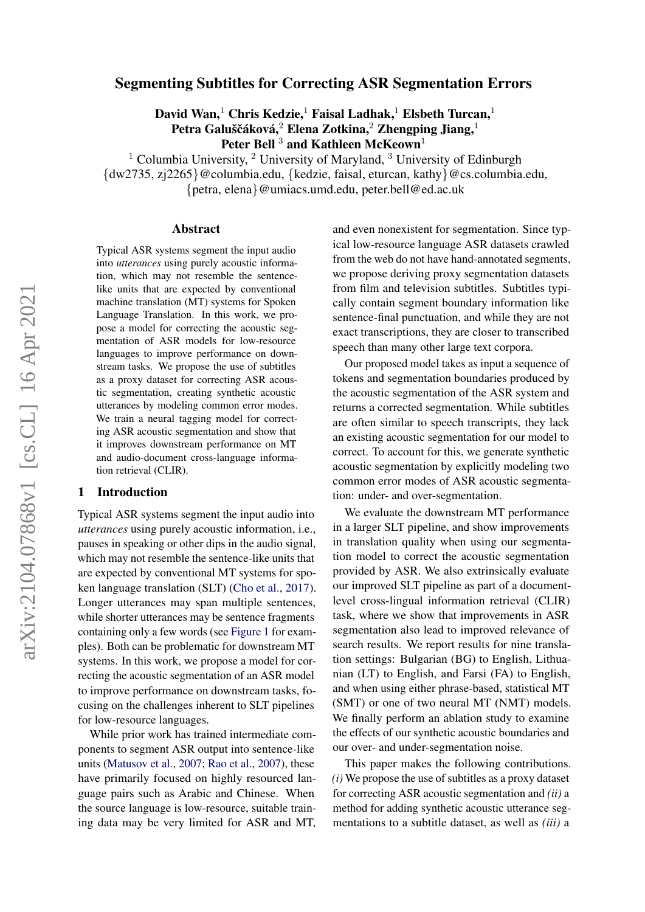# arXiv:2104.07868v1 [cs.CL] 16 Apr 2021 arXiv:2104.07868v1 [cs.CL] 16 Apr 2021

# Segmenting Subtitles for Correcting ASR Segmentation Errors

David Wan,<sup>1</sup> Chris Kedzie,<sup>1</sup> Faisal Ladhak,<sup>1</sup> Elsbeth Turcan,<sup>1</sup> Petra Galuščáková, $^2$  Elena Zotkina, $^2$  Zhengping Jiang, $^1$ Peter Bell<sup>3</sup> and Kathleen McKeown<sup>1</sup>

<sup>1</sup> Columbia University,  $^2$  University of Maryland,  $^3$  University of Edinburgh {dw2735, zj2265}@columbia.edu, {kedzie, faisal, eturcan, kathy}@cs.columbia.edu, {petra, elena}@umiacs.umd.edu, peter.bell@ed.ac.uk

#### Abstract

Typical ASR systems segment the input audio into *utterances* using purely acoustic information, which may not resemble the sentencelike units that are expected by conventional machine translation (MT) systems for Spoken Language Translation. In this work, we propose a model for correcting the acoustic segmentation of ASR models for low-resource languages to improve performance on downstream tasks. We propose the use of subtitles as a proxy dataset for correcting ASR acoustic segmentation, creating synthetic acoustic utterances by modeling common error modes. We train a neural tagging model for correcting ASR acoustic segmentation and show that it improves downstream performance on MT and audio-document cross-language information retrieval (CLIR).

# 1 Introduction

Typical ASR systems segment the input audio into *utterances* using purely acoustic information, i.e., pauses in speaking or other dips in the audio signal, which may not resemble the sentence-like units that are expected by conventional MT systems for spoken language translation (SLT) [\(Cho et al.,](#page-9-0) [2017\)](#page-9-0). Longer utterances may span multiple sentences, while shorter utterances may be sentence fragments containing only a few words (see [Figure 1](#page-1-0) for examples). Both can be problematic for downstream MT systems. In this work, we propose a model for correcting the acoustic segmentation of an ASR model to improve performance on downstream tasks, focusing on the challenges inherent to SLT pipelines for low-resource languages.

While prior work has trained intermediate components to segment ASR output into sentence-like units [\(Matusov et al.,](#page-10-0) [2007;](#page-10-0) [Rao et al.,](#page-10-1) [2007\)](#page-10-1), these have primarily focused on highly resourced language pairs such as Arabic and Chinese. When the source language is low-resource, suitable training data may be very limited for ASR and MT,

and even nonexistent for segmentation. Since typical low-resource language ASR datasets crawled from the web do not have hand-annotated segments, we propose deriving proxy segmentation datasets from film and television subtitles. Subtitles typically contain segment boundary information like sentence-final punctuation, and while they are not exact transcriptions, they are closer to transcribed speech than many other large text corpora.

Our proposed model takes as input a sequence of tokens and segmentation boundaries produced by the acoustic segmentation of the ASR system and returns a corrected segmentation. While subtitles are often similar to speech transcripts, they lack an existing acoustic segmentation for our model to correct. To account for this, we generate synthetic acoustic segmentation by explicitly modeling two common error modes of ASR acoustic segmentation: under- and over-segmentation.

We evaluate the downstream MT performance in a larger SLT pipeline, and show improvements in translation quality when using our segmentation model to correct the acoustic segmentation provided by ASR. We also extrinsically evaluate our improved SLT pipeline as part of a documentlevel cross-lingual information retrieval (CLIR) task, where we show that improvements in ASR segmentation also lead to improved relevance of search results. We report results for nine translation settings: Bulgarian (BG) to English, Lithuanian (LT) to English, and Farsi (FA) to English, and when using either phrase-based, statistical MT (SMT) or one of two neural MT (NMT) models. We finally perform an ablation study to examine the effects of our synthetic acoustic boundaries and our over- and under-segmentation noise.

This paper makes the following contributions. *(i)* We propose the use of subtitles as a proxy dataset for correcting ASR acoustic segmentation and *(ii)* a method for adding synthetic acoustic utterance segmentations to a subtitle dataset, as well as *(iii)* a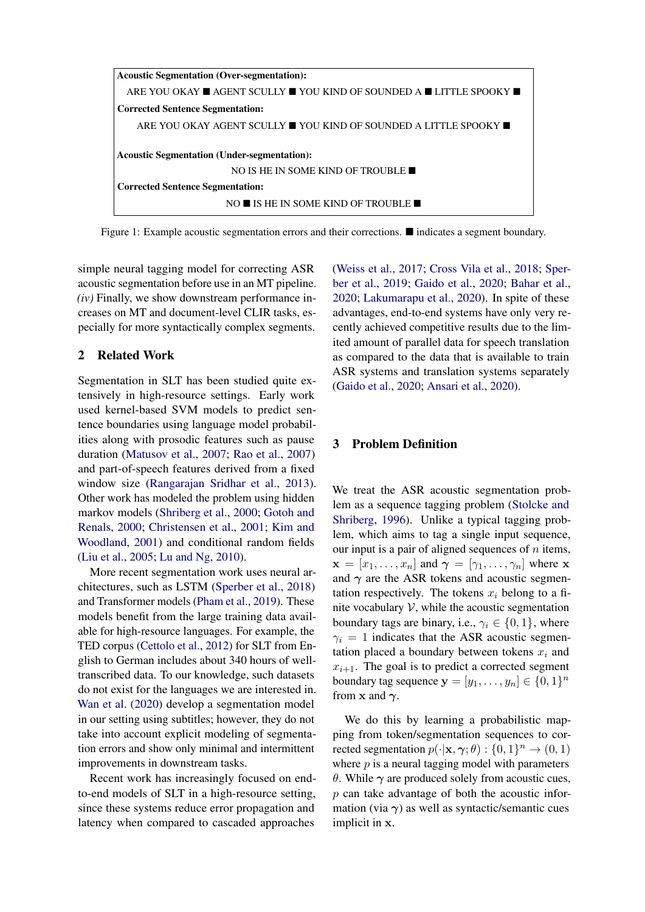<span id="page-1-0"></span>

Figure 1: Example acoustic segmentation errors and their corrections.  $\blacksquare$  indicates a segment boundary.

simple neural tagging model for correcting ASR acoustic segmentation before use in an MT pipeline. *(iv)* Finally, we show downstream performance increases on MT and document-level CLIR tasks, especially for more syntactically complex segments.

# 2 Related Work

Segmentation in SLT has been studied quite extensively in high-resource settings. Early work used kernel-based SVM models to predict sentence boundaries using language model probabilities along with prosodic features such as pause duration [\(Matusov et al.,](#page-10-0) [2007;](#page-10-0) [Rao et al.,](#page-10-1) [2007\)](#page-10-1) and part-of-speech features derived from a fixed window size [\(Rangarajan Sridhar et al.,](#page-10-2) [2013\)](#page-10-2). Other work has modeled the problem using hidden markov models [\(Shriberg et al.,](#page-10-3) [2000;](#page-10-3) [Gotoh and](#page-9-1) [Renals,](#page-9-1) [2000;](#page-9-1) [Christensen et al.,](#page-9-2) [2001;](#page-9-2) [Kim and](#page-9-3) [Woodland,](#page-9-3) [2001\)](#page-9-3) and conditional random fields [\(Liu et al.,](#page-9-4) [2005;](#page-9-4) [Lu and Ng,](#page-9-5) [2010\)](#page-9-5).

More recent segmentation work uses neural architectures, such as LSTM [\(Sperber et al.,](#page-10-4) [2018\)](#page-10-4) and Transformer models [\(Pham et al.,](#page-10-5) [2019\)](#page-10-5). These models benefit from the large training data available for high-resource languages. For example, the TED corpus [\(Cettolo et al.,](#page-9-6) [2012\)](#page-9-6) for SLT from English to German includes about 340 hours of welltranscribed data. To our knowledge, such datasets do not exist for the languages we are interested in. [Wan et al.](#page-11-0) [\(2020\)](#page-11-0) develop a segmentation model in our setting using subtitles; however, they do not take into account explicit modeling of segmentation errors and show only minimal and intermittent improvements in downstream tasks.

Recent work has increasingly focused on endto-end models of SLT in a high-resource setting, since these systems reduce error propagation and latency when compared to cascaded approaches [\(Weiss et al.,](#page-11-1) [2017;](#page-11-1) [Cross Vila et al.,](#page-9-7) [2018;](#page-9-7) [Sper](#page-10-6)[ber et al.,](#page-10-6) [2019;](#page-10-6) [Gaido et al.,](#page-9-8) [2020;](#page-9-8) [Bahar et al.,](#page-8-0) [2020;](#page-8-0) [Lakumarapu et al.,](#page-9-9) [2020\)](#page-9-9). In spite of these advantages, end-to-end systems have only very recently achieved competitive results due to the limited amount of parallel data for speech translation as compared to the data that is available to train ASR systems and translation systems separately [\(Gaido et al.,](#page-9-8) [2020;](#page-9-8) [Ansari et al.,](#page-8-1) [2020\)](#page-8-1).

# 3 Problem Definition

We treat the ASR acoustic segmentation problem as a sequence tagging problem [\(Stolcke and](#page-10-7) [Shriberg,](#page-10-7) [1996\)](#page-10-7). Unlike a typical tagging problem, which aims to tag a single input sequence, our input is a pair of aligned sequences of  $n$  items,  $\mathbf{x} = [x_1, \dots, x_n]$  and  $\boldsymbol{\gamma} = [\gamma_1, \dots, \gamma_n]$  where x and  $\gamma$  are the ASR tokens and acoustic segmentation respectively. The tokens  $x_i$  belong to a finite vocabulary  $V$ , while the acoustic segmentation boundary tags are binary, i.e.,  $\gamma_i \in \{0, 1\}$ , where  $\gamma_i = 1$  indicates that the ASR acoustic segmentation placed a boundary between tokens  $x_i$  and  $x_{i+1}$ . The goal is to predict a corrected segment boundary tag sequence  $\mathbf{y} = [y_1, \dots, y_n] \in \{0, 1\}^n$ from x and  $\gamma$ .

We do this by learning a probabilistic mapping from token/segmentation sequences to corrected segmentation  $p(\cdot|\mathbf{x}, \gamma; \theta) : \{0, 1\}^n \to (0, 1)$ where  $p$  is a neural tagging model with parameters θ. While  $\gamma$  are produced solely from acoustic cues,  $p$  can take advantage of both the acoustic information (via  $\gamma$ ) as well as syntactic/semantic cues implicit in x.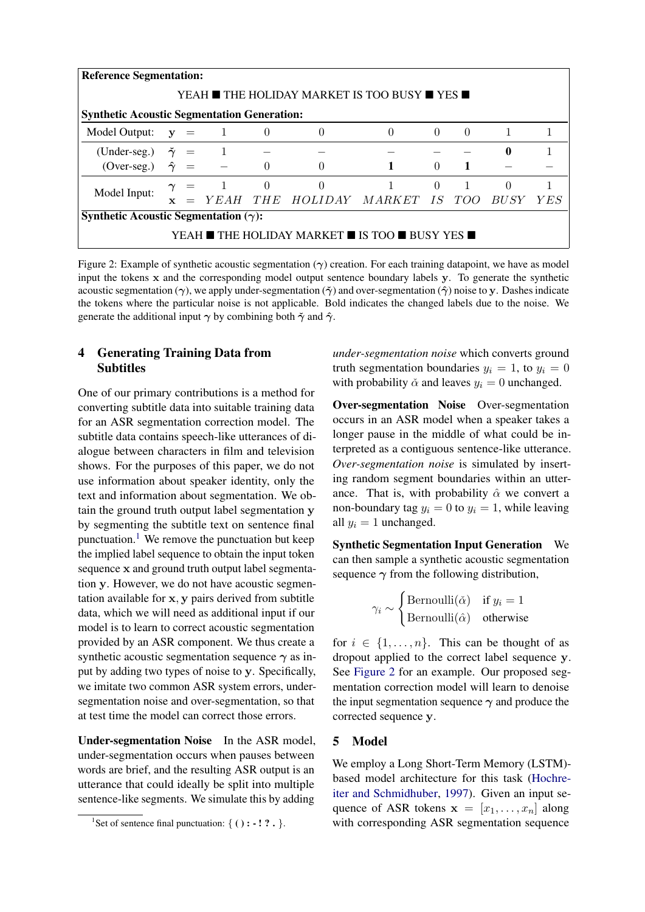<span id="page-2-1"></span>

|                                                    | <b>Reference Segmentation:</b>                                                  |                  |                |          |                |          |          |                |                |  |
|----------------------------------------------------|---------------------------------------------------------------------------------|------------------|----------------|----------|----------------|----------|----------|----------------|----------------|--|
|                                                    | YEAH ■ THE HOLIDAY MARKET IS TOO BUSY ■ YES ■                                   |                  |                |          |                |          |          |                |                |  |
| <b>Synthetic Acoustic Segmentation Generation:</b> |                                                                                 |                  |                |          |                |          |          |                |                |  |
| Model Output: $y = 1$ 0                            |                                                                                 |                  |                |          | $\theta$       | $\theta$ | $\theta$ | $\theta$       | $\overline{1}$ |  |
| (Under-seg.) $\tilde{\gamma}$ = 1                  |                                                                                 |                  |                |          |                |          |          |                | $\mathbf{0}$   |  |
| $(Over-seg.)$                                      |                                                                                 | $\hat{\gamma}$ = |                | $\Omega$ |                |          |          |                |                |  |
|                                                    |                                                                                 |                  | $\gamma = 1 0$ |          | $\overline{0}$ |          | $\Omega$ | $\overline{1}$ | $\Omega$       |  |
|                                                    | Model Input:<br>= YEAH THE HOLIDAY MARKET IS TOO<br><i>BUSY</i><br>$\mathbf{x}$ |                  |                |          |                | Y E S    |          |                |                |  |
| Synthetic Acoustic Segmentation $(\gamma)$ :       |                                                                                 |                  |                |          |                |          |          |                |                |  |
| YEAH ■ THE HOLIDAY MARKET ■ IS TOO ■ BUSY YES ■    |                                                                                 |                  |                |          |                |          |          |                |                |  |

Figure 2: Example of synthetic acoustic segmentation  $(\gamma)$  creation. For each training datapoint, we have as model input the tokens x and the corresponding model output sentence boundary labels y. To generate the synthetic acoustic segmentation ( $\gamma$ ), we apply under-segmentation ( $\tilde{\gamma}$ ) and over-segmentation ( $\hat{\gamma}$ ) noise to y. Dashes indicate the tokens where the particular noise is not applicable. Bold indicates the changed labels due to the noise. We generate the additional input  $\gamma$  by combining both  $\tilde{\gamma}$  and  $\hat{\gamma}$ .

# 4 Generating Training Data from Subtitles

One of our primary contributions is a method for converting subtitle data into suitable training data for an ASR segmentation correction model. The subtitle data contains speech-like utterances of dialogue between characters in film and television shows. For the purposes of this paper, we do not use information about speaker identity, only the text and information about segmentation. We obtain the ground truth output label segmentation y by segmenting the subtitle text on sentence final punctuation.<sup>[1](#page-2-0)</sup> We remove the punctuation but keep the implied label sequence to obtain the input token sequence x and ground truth output label segmentation y. However, we do not have acoustic segmentation available for x, y pairs derived from subtitle data, which we will need as additional input if our model is to learn to correct acoustic segmentation provided by an ASR component. We thus create a synthetic acoustic segmentation sequence  $\gamma$  as input by adding two types of noise to y. Specifically, we imitate two common ASR system errors, undersegmentation noise and over-segmentation, so that at test time the model can correct those errors.

Under-segmentation Noise In the ASR model, under-segmentation occurs when pauses between words are brief, and the resulting ASR output is an utterance that could ideally be split into multiple sentence-like segments. We simulate this by adding

*under-segmentation noise* which converts ground truth segmentation boundaries  $y_i = 1$ , to  $y_i = 0$ with probability  $\check{\alpha}$  and leaves  $y_i = 0$  unchanged.

Over-segmentation Noise Over-segmentation occurs in an ASR model when a speaker takes a longer pause in the middle of what could be interpreted as a contiguous sentence-like utterance. *Over-segmentation noise* is simulated by inserting random segment boundaries within an utterance. That is, with probability  $\hat{\alpha}$  we convert a non-boundary tag  $y_i = 0$  to  $y_i = 1$ , while leaving all  $y_i = 1$  unchanged.

Synthetic Segmentation Input Generation We can then sample a synthetic acoustic segmentation sequence  $\gamma$  from the following distribution,

$$
\gamma_i \sim \begin{cases} \text{Bernoulli}(\check{\alpha}) & \text{if } y_i = 1 \\ \text{Bernoulli}(\hat{\alpha}) & \text{otherwise} \end{cases}
$$

for  $i \in \{1, \ldots, n\}$ . This can be thought of as dropout applied to the correct label sequence y. See [Figure 2](#page-2-1) for an example. Our proposed segmentation correction model will learn to denoise the input segmentation sequence  $\gamma$  and produce the corrected sequence y.

## 5 Model

We employ a Long Short-Term Memory (LSTM) based model architecture for this task [\(Hochre](#page-9-10)[iter and Schmidhuber,](#page-9-10) [1997\)](#page-9-10). Given an input sequence of ASR tokens  $\mathbf{x} = [x_1, \dots, x_n]$  along with corresponding ASR segmentation sequence

<span id="page-2-0"></span><sup>&</sup>lt;sup>1</sup>Set of sentence final punctuation: {  $( ) : -1 ?$  . }.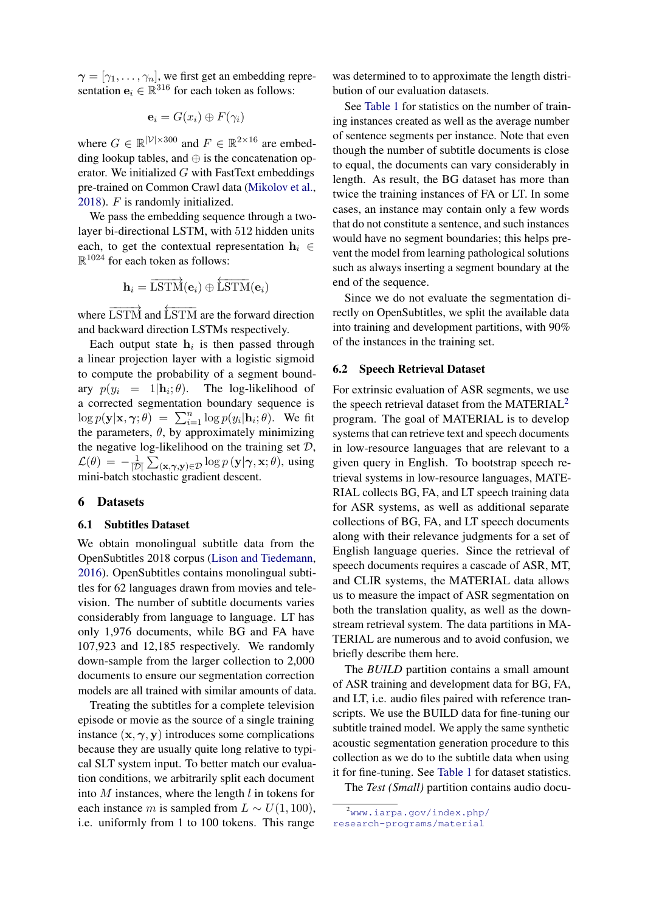$\gamma = [\gamma_1, \ldots, \gamma_n]$ , we first get an embedding representation  $\mathbf{e}_i \in \mathbb{R}^{316}$  for each token as follows:

$$
\mathbf{e}_i = G(x_i) \oplus F(\gamma_i)
$$

where  $G \in \mathbb{R}^{|\mathcal{V}| \times 300}$  and  $F \in \mathbb{R}^{2 \times 16}$  are embedding lookup tables, and  $\oplus$  is the concatenation operator. We initialized  $G$  with FastText embeddings pre-trained on Common Crawl data [\(Mikolov et al.,](#page-10-8) [2018\)](#page-10-8). F is randomly initialized.

We pass the embedding sequence through a twolayer bi-directional LSTM, with 512 hidden units each, to get the contextual representation  $h_i \in$  $\mathbb{R}^{1024}$  for each token as follows:

$$
\mathbf{h}_i = \overrightarrow{\text{LSTM}}(\mathbf{e}_i) \oplus \overleftarrow{\text{LSTM}}(\mathbf{e}_i)
$$

where  $\overrightarrow{\text{LSTM}}$  and  $\overleftarrow{\text{LSTM}}$  are the forward direction and backward direction LSTMs respectively.

Each output state  $h_i$  is then passed through a linear projection layer with a logistic sigmoid to compute the probability of a segment boundary  $p(y_i = 1 | \mathbf{h}_i; \theta)$ . The log-likelihood of a corrected segmentation boundary sequence is  $\log p(\mathbf{y}|\mathbf{x}, \gamma; \theta) = \sum_{i=1}^{n} \log p(y_i|\mathbf{h}_i; \theta)$ . We fit the parameters,  $\theta$ , by approximately minimizing the negative log-likelihood on the training set  $D$ ,  $\mathcal{L}(\theta) = -\frac{1}{\pi}$  $\frac{1}{|{\cal D}|}\sum_{(\mathbf{x},\boldsymbol{\gamma},\mathbf{y})\in{\cal D}}\log p\left(\mathbf{y}|\boldsymbol{\gamma},\mathbf{x};\theta\right)$ , using mini-batch stochastic gradient descent.

#### 6 Datasets

#### 6.1 Subtitles Dataset

We obtain monolingual subtitle data from the OpenSubtitles 2018 corpus [\(Lison and Tiedemann,](#page-9-11) [2016\)](#page-9-11). OpenSubtitles contains monolingual subtitles for 62 languages drawn from movies and television. The number of subtitle documents varies considerably from language to language. LT has only 1,976 documents, while BG and FA have 107,923 and 12,185 respectively. We randomly down-sample from the larger collection to 2,000 documents to ensure our segmentation correction models are all trained with similar amounts of data.

Treating the subtitles for a complete television episode or movie as the source of a single training instance  $(x, \gamma, y)$  introduces some complications because they are usually quite long relative to typical SLT system input. To better match our evaluation conditions, we arbitrarily split each document into  $M$  instances, where the length  $l$  in tokens for each instance m is sampled from  $L \sim U(1, 100)$ , i.e. uniformly from 1 to 100 tokens. This range was determined to to approximate the length distribution of our evaluation datasets.

See [Table 1](#page-4-0) for statistics on the number of training instances created as well as the average number of sentence segments per instance. Note that even though the number of subtitle documents is close to equal, the documents can vary considerably in length. As result, the BG dataset has more than twice the training instances of FA or LT. In some cases, an instance may contain only a few words that do not constitute a sentence, and such instances would have no segment boundaries; this helps prevent the model from learning pathological solutions such as always inserting a segment boundary at the end of the sequence.

Since we do not evaluate the segmentation directly on OpenSubtitles, we split the available data into training and development partitions, with 90% of the instances in the training set.

#### 6.2 Speech Retrieval Dataset

For extrinsic evaluation of ASR segments, we use the speech retrieval dataset from the MATERIAL<sup>[2](#page-3-0)</sup> program. The goal of MATERIAL is to develop systems that can retrieve text and speech documents in low-resource languages that are relevant to a given query in English. To bootstrap speech retrieval systems in low-resource languages, MATE-RIAL collects BG, FA, and LT speech training data for ASR systems, as well as additional separate collections of BG, FA, and LT speech documents along with their relevance judgments for a set of English language queries. Since the retrieval of speech documents requires a cascade of ASR, MT, and CLIR systems, the MATERIAL data allows us to measure the impact of ASR segmentation on both the translation quality, as well as the downstream retrieval system. The data partitions in MA-TERIAL are numerous and to avoid confusion, we briefly describe them here.

The *BUILD* partition contains a small amount of ASR training and development data for BG, FA, and LT, i.e. audio files paired with reference transcripts. We use the BUILD data for fine-tuning our subtitle trained model. We apply the same synthetic acoustic segmentation generation procedure to this collection as we do to the subtitle data when using it for fine-tuning. See [Table 1](#page-4-0) for dataset statistics.

The *Test (Small)* partition contains audio docu-

<span id="page-3-0"></span><sup>2</sup>[www.iarpa.gov/index.php/](www.iarpa.gov/index.php/research-programs/material) [research-programs/material](www.iarpa.gov/index.php/research-programs/material)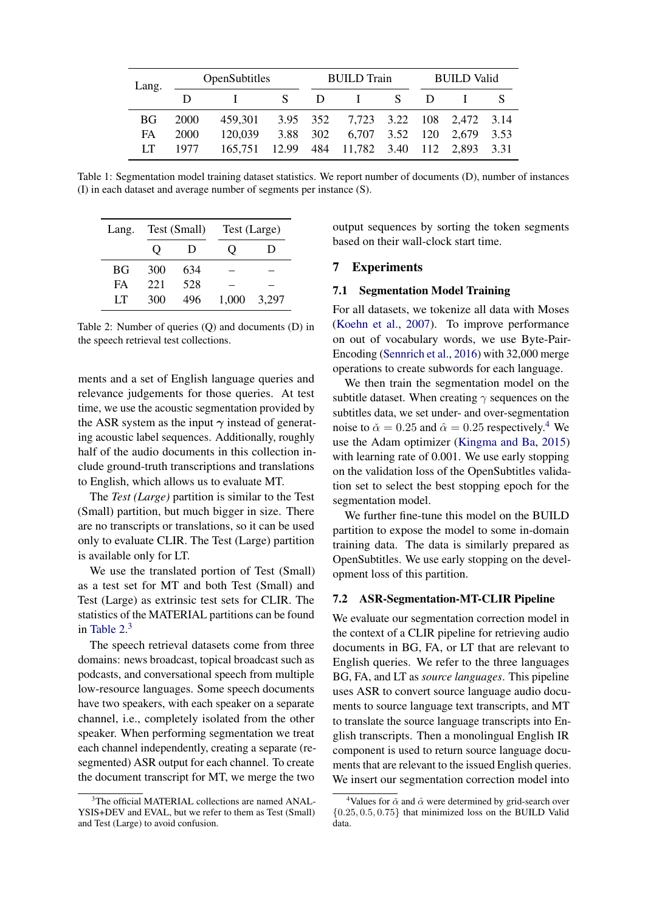<span id="page-4-0"></span>

| Lang. | OpenSubtitles |                                              |  | <b>BUILD</b> Train |                                    |     |        | <b>BUILD Valid</b> |  |
|-------|---------------|----------------------------------------------|--|--------------------|------------------------------------|-----|--------|--------------------|--|
|       |               |                                              |  |                    | $S \cap I$                         | S – | $\Box$ |                    |  |
| BG.   | 2000          | 459,301 3.95 352 7,723 3.22 108 2,472 3.14   |  |                    |                                    |     |        |                    |  |
| FA.   | 2000          | 120,039                                      |  |                    | 3.88 302 6,707 3.52 120 2,679 3.53 |     |        |                    |  |
| LT    | 1977          | 165,751 12.99 484 11,782 3.40 112 2,893 3.31 |  |                    |                                    |     |        |                    |  |

Table 1: Segmentation model training dataset statistics. We report number of documents (D), number of instances (I) in each dataset and average number of segments per instance (S).

<span id="page-4-1"></span>

| Lang. |     | Test (Small) |       | Test (Large) |
|-------|-----|--------------|-------|--------------|
|       | 0   | Ð            |       | I)           |
| BG    | 300 | 634          |       |              |
| FA    | 221 | 528          |       |              |
| LТ    | 300 | 496          | 1.000 | 3,297        |

Table 2: Number of queries (Q) and documents (D) in the speech retrieval test collections.

ments and a set of English language queries and relevance judgements for those queries. At test time, we use the acoustic segmentation provided by the ASR system as the input  $\gamma$  instead of generating acoustic label sequences. Additionally, roughly half of the audio documents in this collection include ground-truth transcriptions and translations to English, which allows us to evaluate MT.

The *Test (Large)* partition is similar to the Test (Small) partition, but much bigger in size. There are no transcripts or translations, so it can be used only to evaluate CLIR. The Test (Large) partition is available only for LT.

We use the translated portion of Test (Small) as a test set for MT and both Test (Small) and Test (Large) as extrinsic test sets for CLIR. The statistics of the MATERIAL partitions can be found in Table  $2<sup>3</sup>$  $2<sup>3</sup>$  $2<sup>3</sup>$ 

The speech retrieval datasets come from three domains: news broadcast, topical broadcast such as podcasts, and conversational speech from multiple low-resource languages. Some speech documents have two speakers, with each speaker on a separate channel, i.e., completely isolated from the other speaker. When performing segmentation we treat each channel independently, creating a separate (resegmented) ASR output for each channel. To create the document transcript for MT, we merge the two

output sequences by sorting the token segments based on their wall-clock start time.

## 7 Experiments

## 7.1 Segmentation Model Training

For all datasets, we tokenize all data with Moses [\(Koehn et al.,](#page-9-12) [2007\)](#page-9-12). To improve performance on out of vocabulary words, we use Byte-Pair-Encoding [\(Sennrich et al.,](#page-10-9) [2016\)](#page-10-9) with 32,000 merge operations to create subwords for each language.

We then train the segmentation model on the subtitle dataset. When creating  $\gamma$  sequences on the subtitles data, we set under- and over-segmentation noise to  $\check{\alpha} = 0.25$  and  $\hat{\alpha} = 0.25$  respectively.<sup>[4](#page-4-3)</sup> We use the Adam optimizer [\(Kingma and Ba,](#page-9-13) [2015\)](#page-9-13) with learning rate of 0.001. We use early stopping on the validation loss of the OpenSubtitles validation set to select the best stopping epoch for the segmentation model.

We further fine-tune this model on the BUILD partition to expose the model to some in-domain training data. The data is similarly prepared as OpenSubtitles. We use early stopping on the development loss of this partition.

# 7.2 ASR-Segmentation-MT-CLIR Pipeline

We evaluate our segmentation correction model in the context of a CLIR pipeline for retrieving audio documents in BG, FA, or LT that are relevant to English queries. We refer to the three languages BG, FA, and LT as *source languages*. This pipeline uses ASR to convert source language audio documents to source language text transcripts, and MT to translate the source language transcripts into English transcripts. Then a monolingual English IR component is used to return source language documents that are relevant to the issued English queries. We insert our segmentation correction model into

<span id="page-4-2"></span><sup>&</sup>lt;sup>3</sup>The official MATERIAL collections are named ANAL-YSIS+DEV and EVAL, but we refer to them as Test (Small) and Test (Large) to avoid confusion.

<span id="page-4-3"></span><sup>&</sup>lt;sup>4</sup>Values for  $\check{\alpha}$  and  $\hat{\alpha}$  were determined by grid-search over  ${0.25, 0.5, 0.75}$  that minimized loss on the BUILD Valid data.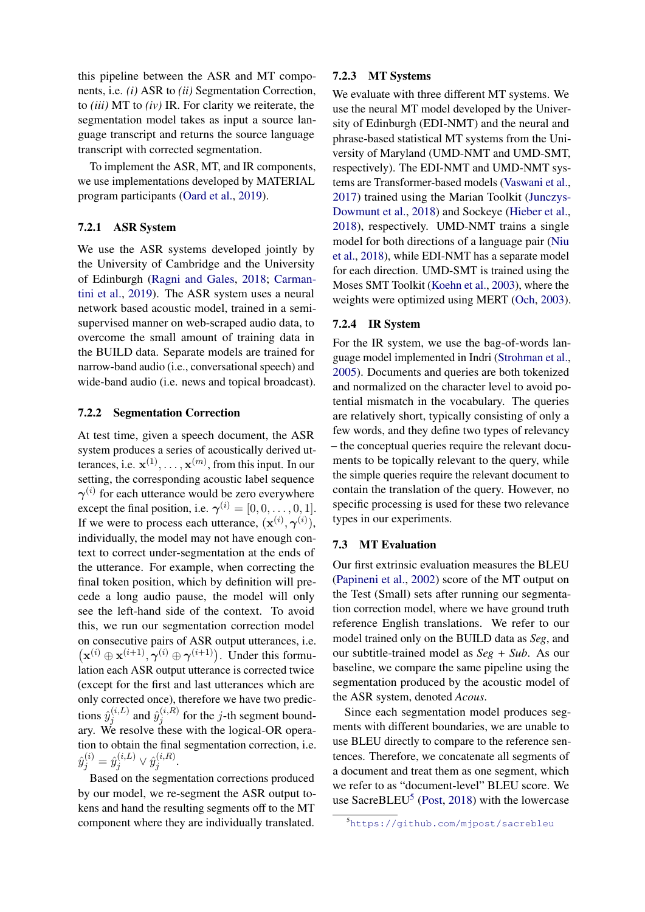this pipeline between the ASR and MT components, i.e. *(i)* ASR to *(ii)* Segmentation Correction, to *(iii)* MT to *(iv)* IR. For clarity we reiterate, the segmentation model takes as input a source language transcript and returns the source language transcript with corrected segmentation.

To implement the ASR, MT, and IR components, we use implementations developed by MATERIAL program participants [\(Oard et al.,](#page-10-10) [2019\)](#page-10-10).

## 7.2.1 ASR System

We use the ASR systems developed jointly by the University of Cambridge and the University of Edinburgh [\(Ragni and Gales,](#page-10-11) [2018;](#page-10-11) [Carman](#page-8-2)[tini et al.,](#page-8-2) [2019\)](#page-8-2). The ASR system uses a neural network based acoustic model, trained in a semisupervised manner on web-scraped audio data, to overcome the small amount of training data in the BUILD data. Separate models are trained for narrow-band audio (i.e., conversational speech) and wide-band audio (i.e. news and topical broadcast).

#### 7.2.2 Segmentation Correction

At test time, given a speech document, the ASR system produces a series of acoustically derived utterances, i.e.  $\mathbf{x}^{(1)}, \dots, \mathbf{x}^{(m)}$ , from this input. In our setting, the corresponding acoustic label sequence  $\gamma^{(i)}$  for each utterance would be zero everywhere except the final position, i.e.  $\gamma^{(i)} = [0, 0, \dots, 0, 1].$ If we were to process each utterance,  $(\mathbf{x}^{(i)}, \boldsymbol{\gamma}^{(i)}),$ individually, the model may not have enough context to correct under-segmentation at the ends of the utterance. For example, when correcting the final token position, which by definition will precede a long audio pause, the model will only see the left-hand side of the context. To avoid this, we run our segmentation correction model on consecutive pairs of ASR output utterances, i.e.  $(\mathbf{x}^{(i)} \oplus \mathbf{x}^{(i+1)}, \boldsymbol{\gamma}^{(i)} \oplus \boldsymbol{\gamma}^{(i+1)})$ . Under this formulation each ASR output utterance is corrected twice (except for the first and last utterances which are only corrected once), therefore we have two predictions  $\hat{y}_i^{(i,L)}$  $\hat{y}_j^{(i,L)}$  and  $\hat{y}_j^{(i,R)}$  $j_j^{(i,n)}$  for the *j*-th segment boundary. We resolve these with the logical-OR operation to obtain the final segmentation correction, i.e.  $\hat{y}_j^{(i)} = \hat{y}_j^{(i,L)} \vee \hat{y}_j^{(i,R)}$  $j^{(i,n)}$ .

Based on the segmentation corrections produced by our model, we re-segment the ASR output tokens and hand the resulting segments off to the MT component where they are individually translated.

## 7.2.3 MT Systems

We evaluate with three different MT systems. We use the neural MT model developed by the University of Edinburgh (EDI-NMT) and the neural and phrase-based statistical MT systems from the University of Maryland (UMD-NMT and UMD-SMT, respectively). The EDI-NMT and UMD-NMT systems are Transformer-based models [\(Vaswani et al.,](#page-11-2) [2017\)](#page-11-2) trained using the Marian Toolkit [\(Junczys-](#page-9-14)[Dowmunt et al.,](#page-9-14) [2018\)](#page-9-14) and Sockeye [\(Hieber et al.,](#page-9-15) [2018\)](#page-9-15), respectively. UMD-NMT trains a single model for both directions of a language pair [\(Niu](#page-10-12) [et al.,](#page-10-12) [2018\)](#page-10-12), while EDI-NMT has a separate model for each direction. UMD-SMT is trained using the Moses SMT Toolkit [\(Koehn et al.,](#page-9-16) [2003\)](#page-9-16), where the weights were optimized using MERT [\(Och,](#page-10-13) [2003\)](#page-10-13).

# 7.2.4 IR System

For the IR system, we use the bag-of-words language model implemented in Indri [\(Strohman et al.,](#page-11-3) [2005\)](#page-11-3). Documents and queries are both tokenized and normalized on the character level to avoid potential mismatch in the vocabulary. The queries are relatively short, typically consisting of only a few words, and they define two types of relevancy – the conceptual queries require the relevant documents to be topically relevant to the query, while the simple queries require the relevant document to contain the translation of the query. However, no specific processing is used for these two relevance types in our experiments.

#### 7.3 MT Evaluation

Our first extrinsic evaluation measures the BLEU [\(Papineni et al.,](#page-10-14) [2002\)](#page-10-14) score of the MT output on the Test (Small) sets after running our segmentation correction model, where we have ground truth reference English translations. We refer to our model trained only on the BUILD data as *Seg*, and our subtitle-trained model as *Seg + Sub*. As our baseline, we compare the same pipeline using the segmentation produced by the acoustic model of the ASR system, denoted *Acous*.

Since each segmentation model produces segments with different boundaries, we are unable to use BLEU directly to compare to the reference sentences. Therefore, we concatenate all segments of a document and treat them as one segment, which we refer to as "document-level" BLEU score. We use SacreBLEU<sup>[5](#page-5-0)</sup> [\(Post,](#page-10-15) [2018\)](#page-10-15) with the lowercase

<span id="page-5-0"></span><sup>5</sup><https://github.com/mjpost/sacrebleu>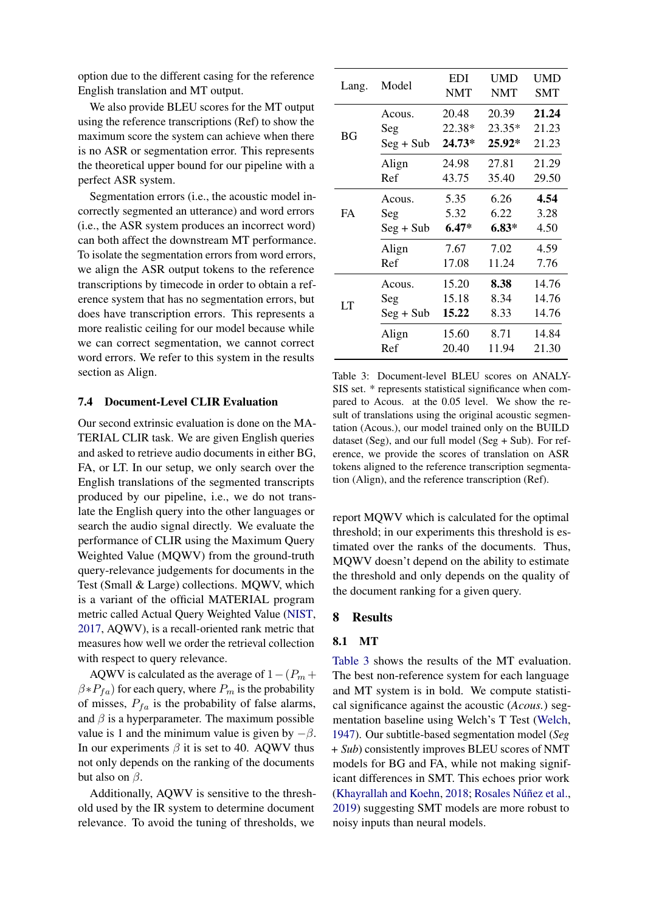option due to the different casing for the reference English translation and MT output.

We also provide BLEU scores for the MT output using the reference transcriptions (Ref) to show the maximum score the system can achieve when there is no ASR or segmentation error. This represents the theoretical upper bound for our pipeline with a perfect ASR system.

Segmentation errors (i.e., the acoustic model incorrectly segmented an utterance) and word errors (i.e., the ASR system produces an incorrect word) can both affect the downstream MT performance. To isolate the segmentation errors from word errors, we align the ASR output tokens to the reference transcriptions by timecode in order to obtain a reference system that has no segmentation errors, but does have transcription errors. This represents a more realistic ceiling for our model because while we can correct segmentation, we cannot correct word errors. We refer to this system in the results section as Align.

## 7.4 Document-Level CLIR Evaluation

Our second extrinsic evaluation is done on the MA-TERIAL CLIR task. We are given English queries and asked to retrieve audio documents in either BG, FA, or LT. In our setup, we only search over the English translations of the segmented transcripts produced by our pipeline, i.e., we do not translate the English query into the other languages or search the audio signal directly. We evaluate the performance of CLIR using the Maximum Query Weighted Value (MQWV) from the ground-truth query-relevance judgements for documents in the Test (Small & Large) collections. MQWV, which is a variant of the official MATERIAL program metric called Actual Query Weighted Value [\(NIST,](#page-10-16) [2017,](#page-10-16) AQWV), is a recall-oriented rank metric that measures how well we order the retrieval collection with respect to query relevance.

AQWV is calculated as the average of  $1-(P_m +$  $\beta * P_{fa}$ ) for each query, where  $P_m$  is the probability of misses,  $P_{fa}$  is the probability of false alarms, and  $\beta$  is a hyperparameter. The maximum possible value is 1 and the minimum value is given by  $-\beta$ . In our experiments  $\beta$  it is set to 40. AQWV thus not only depends on the ranking of the documents but also on  $\beta$ .

Additionally, AQWV is sensitive to the threshold used by the IR system to determine document relevance. To avoid the tuning of thresholds, we

<span id="page-6-0"></span>

| Lang.     | Model       | EDI<br><b>NMT</b> | <b>UMD</b><br><b>NMT</b> | UMD<br><b>SMT</b> |
|-----------|-------------|-------------------|--------------------------|-------------------|
|           | Acous.      | 20.48             | 20.39                    | 21.24             |
| <b>BG</b> | Seg         | 22.38*            | 23.35*                   | 21.23             |
|           | $Seg + Sub$ | 24.73*            | 25.92*                   | 21.23             |
|           | Align       | 24.98             | 27.81                    | 21.29             |
|           | Ref         | 43.75             | 35.40                    | 29.50             |
|           | Acous.      | 5.35              | 6.26                     | 4.54              |
| <b>FA</b> | Seg         | 5.32              | 6.22                     | 3.28              |
|           | $Seg + Sub$ | $6.47*$           | $6.83*$                  | 4.50              |
|           | Align       | 7.67              | 7.02                     | 4.59              |
|           | Ref         | 17.08             | 11.24                    | 7.76              |
|           | Acous.      | 15.20             | 8.38                     | 14.76             |
| LT        | Seg         | 15.18             | 8.34                     | 14.76             |
|           | $Seg + Sub$ | 15.22             | 8.33                     | 14.76             |
|           | Align       | 15.60             | 8.71                     | 14.84             |
|           | Ref         | 20.40             | 11.94                    | 21.30             |

Table 3: Document-level BLEU scores on ANALY-SIS set. \* represents statistical significance when compared to Acous. at the 0.05 level. We show the result of translations using the original acoustic segmentation (Acous.), our model trained only on the BUILD dataset (Seg), and our full model (Seg + Sub). For reference, we provide the scores of translation on ASR tokens aligned to the reference transcription segmentation (Align), and the reference transcription (Ref).

report MQWV which is calculated for the optimal threshold; in our experiments this threshold is estimated over the ranks of the documents. Thus, MQWV doesn't depend on the ability to estimate the threshold and only depends on the quality of the document ranking for a given query.

#### 8 Results

#### 8.1 MT

[Table 3](#page-6-0) shows the results of the MT evaluation. The best non-reference system for each language and MT system is in bold. We compute statistical significance against the acoustic (*Acous.*) segmentation baseline using Welch's T Test [\(Welch,](#page-11-4) [1947\)](#page-11-4). Our subtitle-based segmentation model (*Seg + Sub*) consistently improves BLEU scores of NMT models for BG and FA, while not making significant differences in SMT. This echoes prior work [\(Khayrallah and Koehn,](#page-9-17) [2018;](#page-9-17) Rosales Núñez et al., [2019\)](#page-10-17) suggesting SMT models are more robust to noisy inputs than neural models.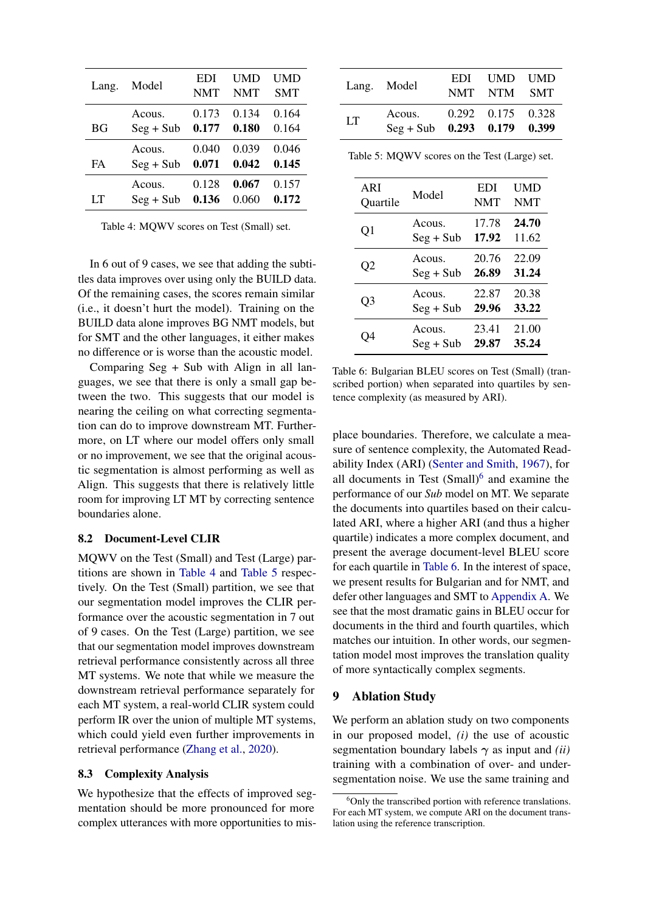<span id="page-7-0"></span>

| Lang.     | Model       | <b>EDI</b><br><b>NMT</b> | UMD<br><b>NMT</b> | <b>UMD</b><br><b>SMT</b> |
|-----------|-------------|--------------------------|-------------------|--------------------------|
| ВG        | Acous.      | 0.173                    | 0.134             | 0.164                    |
|           | $Seg + Sub$ | 0.177                    | 0.180             | 0.164                    |
| <b>FA</b> | Acous.      | 0.040                    | 0.039             | 0.046                    |
|           | $Seg + Sub$ | 0.071                    | 0.042             | 0.145                    |
| LТ        | Acous.      | 0.128                    | 0.067             | 0.157                    |
|           | $Seg + Sub$ | 0.136                    | 0.060             | 0.172                    |

Table 4: MQWV scores on Test (Small) set.

In 6 out of 9 cases, we see that adding the subtitles data improves over using only the BUILD data. Of the remaining cases, the scores remain similar (i.e., it doesn't hurt the model). Training on the BUILD data alone improves BG NMT models, but for SMT and the other languages, it either makes no difference or is worse than the acoustic model.

Comparing Seg + Sub with Align in all languages, we see that there is only a small gap between the two. This suggests that our model is nearing the ceiling on what correcting segmentation can do to improve downstream MT. Furthermore, on LT where our model offers only small or no improvement, we see that the original acoustic segmentation is almost performing as well as Align. This suggests that there is relatively little room for improving LT MT by correcting sentence boundaries alone.

# 8.2 Document-Level CLIR

MQWV on the Test (Small) and Test (Large) partitions are shown in [Table 4](#page-7-0) and [Table 5](#page-7-1) respectively. On the Test (Small) partition, we see that our segmentation model improves the CLIR performance over the acoustic segmentation in 7 out of 9 cases. On the Test (Large) partition, we see that our segmentation model improves downstream retrieval performance consistently across all three MT systems. We note that while we measure the downstream retrieval performance separately for each MT system, a real-world CLIR system could perform IR over the union of multiple MT systems, which could yield even further improvements in retrieval performance [\(Zhang et al.,](#page-11-5) [2020\)](#page-11-5).

## <span id="page-7-4"></span>8.3 Complexity Analysis

We hypothesize that the effects of improved segmentation should be more pronounced for more complex utterances with more opportunities to mis-

<span id="page-7-1"></span>

|    | Lang. Model                                               | EDI UMD UMD<br>NMT NTM SMT |  |
|----|-----------------------------------------------------------|----------------------------|--|
| LT | Acous. 0.292 0.175 0.328<br>$Seg + Sub$ 0.293 0.179 0.399 |                            |  |

Table 5: MQWV scores on the Test (Large) set.

<span id="page-7-3"></span>

| ARI      | Model       | EDI        | UMD        |
|----------|-------------|------------|------------|
| Quartile |             | <b>NMT</b> | <b>NMT</b> |
| Q1       | Acous.      | 17.78      | 24.70      |
|          | $Seg + Sub$ | 17.92      | 11.62      |
| O2       | Acous.      | 20.76      | 22.09      |
|          | $Seg + Sub$ | 26.89      | 31.24      |
| O3       | Acous.      | 22.87      | 20.38      |
|          | $Seg + Sub$ | 29.96      | 33.22      |
| . )4     | Acous.      | 23.41      | 21.00      |
|          | $Seg + Sub$ | 29.87      | 35.24      |

Table 6: Bulgarian BLEU scores on Test (Small) (transcribed portion) when separated into quartiles by sentence complexity (as measured by ARI).

place boundaries. Therefore, we calculate a measure of sentence complexity, the Automated Readability Index (ARI) [\(Senter and Smith,](#page-10-18) [1967\)](#page-10-18), for all documents in Test  $(Small)$ <sup>[6](#page-7-2)</sup> and examine the performance of our *Sub* model on MT. We separate the documents into quartiles based on their calculated ARI, where a higher ARI (and thus a higher quartile) indicates a more complex document, and present the average document-level BLEU score for each quartile in [Table 6.](#page-7-3) In the interest of space, we present results for Bulgarian and for NMT, and defer other languages and SMT to [Appendix A.](#page-12-0) We see that the most dramatic gains in BLEU occur for documents in the third and fourth quartiles, which matches our intuition. In other words, our segmentation model most improves the translation quality of more syntactically complex segments.

## 9 Ablation Study

We perform an ablation study on two components in our proposed model, *(i)* the use of acoustic segmentation boundary labels  $\gamma$  as input and *(ii)* training with a combination of over- and undersegmentation noise. We use the same training and

<span id="page-7-2"></span> $6$ Only the transcribed portion with reference translations. For each MT system, we compute ARI on the document translation using the reference transcription.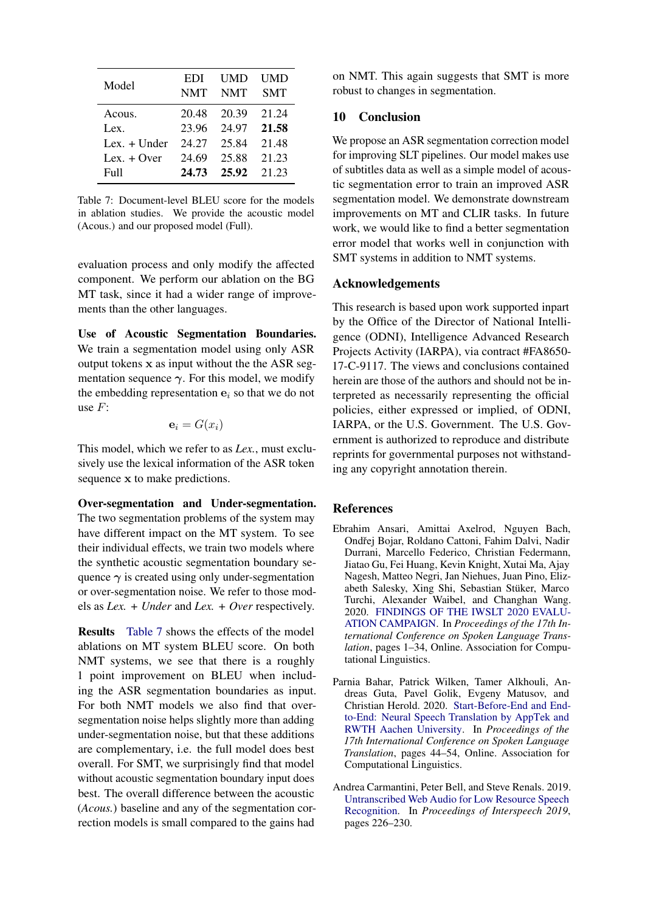<span id="page-8-3"></span>

| Model              | EDI<br><b>NMT</b> | UMD<br><b>NMT</b> | UMD<br><b>SMT</b> |
|--------------------|-------------------|-------------------|-------------------|
| Acous.             | 20.48             | 20.39             | 21.24             |
| Lex.               | 23.96             | 24.97             | 21.58             |
| $Lex. + Under$     | 24.27             | 25.84             | 21.48             |
| Lex. $+$ Over      | 24.69             | 25.88             | 21.23             |
| F <sub>II</sub> 11 | 24.73             | 25.92             | 21 23             |

Table 7: Document-level BLEU score for the models in ablation studies. We provide the acoustic model (Acous.) and our proposed model (Full).

evaluation process and only modify the affected component. We perform our ablation on the BG MT task, since it had a wider range of improvements than the other languages.

Use of Acoustic Segmentation Boundaries. We train a segmentation model using only ASR output tokens  $x$  as input without the the ASR segmentation sequence  $\gamma$ . For this model, we modify the embedding representation  $e_i$  so that we do not use  $F$ :

$$
\mathbf{e}_i = G(x_i)
$$

This model, which we refer to as *Lex.*, must exclusively use the lexical information of the ASR token sequence x to make predictions.

Over-segmentation and Under-segmentation. The two segmentation problems of the system may have different impact on the MT system. To see their individual effects, we train two models where the synthetic acoustic segmentation boundary sequence  $\gamma$  is created using only under-segmentation or over-segmentation noise. We refer to those models as *Lex. + Under* and *Lex. + Over* respectively.

Results [Table 7](#page-8-3) shows the effects of the model ablations on MT system BLEU score. On both NMT systems, we see that there is a roughly 1 point improvement on BLEU when including the ASR segmentation boundaries as input. For both NMT models we also find that oversegmentation noise helps slightly more than adding under-segmentation noise, but that these additions are complementary, i.e. the full model does best overall. For SMT, we surprisingly find that model without acoustic segmentation boundary input does best. The overall difference between the acoustic (*Acous.*) baseline and any of the segmentation correction models is small compared to the gains had

on NMT. This again suggests that SMT is more robust to changes in segmentation.

# 10 Conclusion

We propose an ASR segmentation correction model for improving SLT pipelines. Our model makes use of subtitles data as well as a simple model of acoustic segmentation error to train an improved ASR segmentation model. We demonstrate downstream improvements on MT and CLIR tasks. In future work, we would like to find a better segmentation error model that works well in conjunction with SMT systems in addition to NMT systems.

## Acknowledgements

This research is based upon work supported inpart by the Office of the Director of National Intelligence (ODNI), Intelligence Advanced Research Projects Activity (IARPA), via contract #FA8650- 17-C-9117. The views and conclusions contained herein are those of the authors and should not be interpreted as necessarily representing the official policies, either expressed or implied, of ODNI, IARPA, or the U.S. Government. The U.S. Government is authorized to reproduce and distribute reprints for governmental purposes not withstanding any copyright annotation therein.

# **References**

- <span id="page-8-1"></span>Ebrahim Ansari, Amittai Axelrod, Nguyen Bach, Ondřej Bojar, Roldano Cattoni, Fahim Dalvi, Nadir Durrani, Marcello Federico, Christian Federmann, Jiatao Gu, Fei Huang, Kevin Knight, Xutai Ma, Ajay Nagesh, Matteo Negri, Jan Niehues, Juan Pino, Elizabeth Salesky, Xing Shi, Sebastian Stuker, Marco ¨ Turchi, Alexander Waibel, and Changhan Wang. 2020. [FINDINGS OF THE IWSLT 2020 EVALU-](https://doi.org/10.18653/v1/2020.iwslt-1.1)[ATION CAMPAIGN.](https://doi.org/10.18653/v1/2020.iwslt-1.1) In *Proceedings of the 17th International Conference on Spoken Language Translation*, pages 1–34, Online. Association for Computational Linguistics.
- <span id="page-8-0"></span>Parnia Bahar, Patrick Wilken, Tamer Alkhouli, Andreas Guta, Pavel Golik, Evgeny Matusov, and Christian Herold. 2020. [Start-Before-End and End](https://doi.org/10.18653/v1/2020.iwslt-1.3)[to-End: Neural Speech Translation by AppTek and](https://doi.org/10.18653/v1/2020.iwslt-1.3) [RWTH Aachen University.](https://doi.org/10.18653/v1/2020.iwslt-1.3) In *Proceedings of the 17th International Conference on Spoken Language Translation*, pages 44–54, Online. Association for Computational Linguistics.
- <span id="page-8-2"></span>Andrea Carmantini, Peter Bell, and Steve Renals. 2019. [Untranscribed Web Audio for Low Resource Speech](https://doi.org/10.21437/Interspeech.2019-2623) [Recognition.](https://doi.org/10.21437/Interspeech.2019-2623) In *Proceedings of Interspeech 2019*, pages 226–230.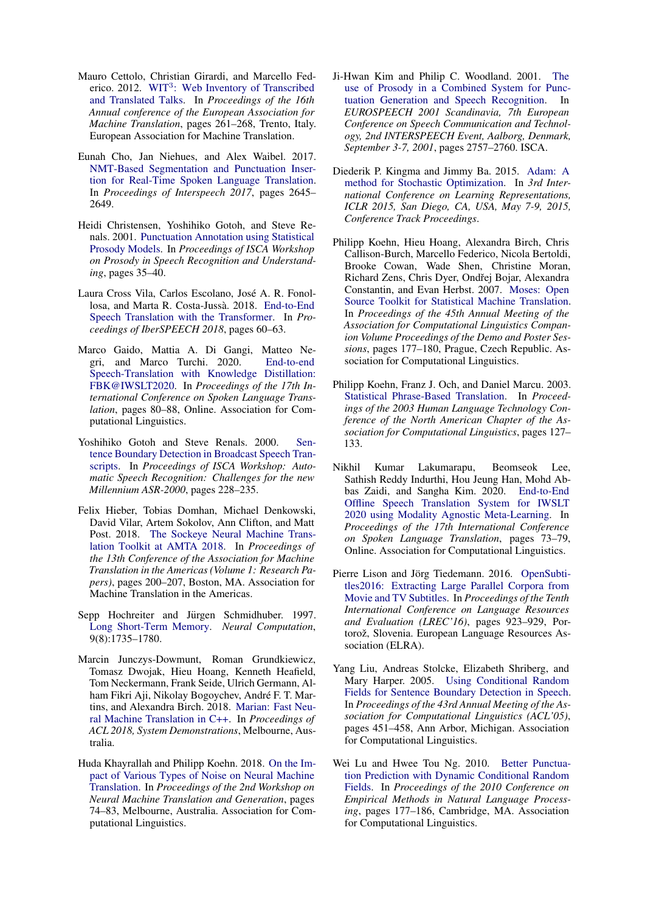- <span id="page-9-6"></span>Mauro Cettolo, Christian Girardi, and Marcello Fed-erico. 2012. WIT<sup>3</sup>[: Web Inventory of Transcribed](https://www.aclweb.org/anthology/2012.eamt-1.60) [and Translated Talks.](https://www.aclweb.org/anthology/2012.eamt-1.60) In *Proceedings of the 16th Annual conference of the European Association for Machine Translation*, pages 261–268, Trento, Italy. European Association for Machine Translation.
- <span id="page-9-0"></span>Eunah Cho, Jan Niehues, and Alex Waibel. 2017. [NMT-Based Segmentation and Punctuation Inser](https://doi.org/10.21437/Interspeech.2017-1320)[tion for Real-Time Spoken Language Translation.](https://doi.org/10.21437/Interspeech.2017-1320) In *Proceedings of Interspeech 2017*, pages 2645– 2649.
- <span id="page-9-2"></span>Heidi Christensen, Yoshihiko Gotoh, and Steve Renals. 2001. [Punctuation Annotation using Statistical](https://www.isca-speech.org/archive_open/archive_papers/prosody_2001/prsr_006.pdf) [Prosody Models.](https://www.isca-speech.org/archive_open/archive_papers/prosody_2001/prsr_006.pdf) In *Proceedings of ISCA Workshop on Prosody in Speech Recognition and Understanding*, pages 35–40.
- <span id="page-9-7"></span>Laura Cross Vila, Carlos Escolano, Jose A. R. Fonol- ´ losa, and Marta R. Costa-Jussà. 2018. [End-to-End](https://doi.org/10.21437/IberSPEECH.2018-13) [Speech Translation with the Transformer.](https://doi.org/10.21437/IberSPEECH.2018-13) In *Proceedings of IberSPEECH 2018*, pages 60–63.
- <span id="page-9-8"></span>Marco Gaido, Mattia A. Di Gangi, Matteo Negri, and Marco Turchi. 2020. [End-to-end](https://doi.org/10.18653/v1/2020.iwslt-1.8) [Speech-Translation with Knowledge Distillation:](https://doi.org/10.18653/v1/2020.iwslt-1.8) [FBK@IWSLT2020.](https://doi.org/10.18653/v1/2020.iwslt-1.8) In *Proceedings of the 17th International Conference on Spoken Language Translation*, pages 80–88, Online. Association for Computational Linguistics.
- <span id="page-9-1"></span>Yoshihiko Gotoh and Steve Renals. 2000. [Sen](https://isca-speech.org/archive_open/archive_papers/asr2000/asr0_228.pdf)[tence Boundary Detection in Broadcast Speech Tran](https://isca-speech.org/archive_open/archive_papers/asr2000/asr0_228.pdf)[scripts.](https://isca-speech.org/archive_open/archive_papers/asr2000/asr0_228.pdf) In *Proceedings of ISCA Workshop: Automatic Speech Recognition: Challenges for the new Millennium ASR-2000*, pages 228–235.
- <span id="page-9-15"></span>Felix Hieber, Tobias Domhan, Michael Denkowski, David Vilar, Artem Sokolov, Ann Clifton, and Matt Post. 2018. [The Sockeye Neural Machine Trans](https://www.aclweb.org/anthology/W18-1820)[lation Toolkit at AMTA 2018.](https://www.aclweb.org/anthology/W18-1820) In *Proceedings of the 13th Conference of the Association for Machine Translation in the Americas (Volume 1: Research Papers)*, pages 200–207, Boston, MA. Association for Machine Translation in the Americas.
- <span id="page-9-10"></span>Sepp Hochreiter and Jürgen Schmidhuber. 1997. [Long Short-Term Memory.](https://doi.org/10.1162/neco.1997.9.8.1735) *Neural Computation*, 9(8):1735–1780.
- <span id="page-9-14"></span>Marcin Junczys-Dowmunt, Roman Grundkiewicz, Tomasz Dwojak, Hieu Hoang, Kenneth Heafield, Tom Neckermann, Frank Seide, Ulrich Germann, Alham Fikri Aji, Nikolay Bogoychev, André F. T. Martins, and Alexandra Birch. 2018. [Marian: Fast Neu](https://arxiv.org/abs/1804.00344)[ral Machine Translation in C++.](https://arxiv.org/abs/1804.00344) In *Proceedings of ACL 2018, System Demonstrations*, Melbourne, Australia.
- <span id="page-9-17"></span>Huda Khayrallah and Philipp Koehn. 2018. [On the Im](https://doi.org/10.18653/v1/W18-2709)[pact of Various Types of Noise on Neural Machine](https://doi.org/10.18653/v1/W18-2709) [Translation.](https://doi.org/10.18653/v1/W18-2709) In *Proceedings of the 2nd Workshop on Neural Machine Translation and Generation*, pages 74–83, Melbourne, Australia. Association for Computational Linguistics.
- <span id="page-9-3"></span>Ji-Hwan Kim and Philip C. Woodland. 2001. [The](http://www.isca-speech.org/archive/eurospeech_2001/e01_2757.html) [use of Prosody in a Combined System for Punc](http://www.isca-speech.org/archive/eurospeech_2001/e01_2757.html)[tuation Generation and Speech Recognition.](http://www.isca-speech.org/archive/eurospeech_2001/e01_2757.html) In *EUROSPEECH 2001 Scandinavia, 7th European Conference on Speech Communication and Technology, 2nd INTERSPEECH Event, Aalborg, Denmark, September 3-7, 2001*, pages 2757–2760. ISCA.
- <span id="page-9-13"></span>Diederik P. Kingma and Jimmy Ba. 2015. [Adam: A](http://arxiv.org/abs/1412.6980) [method for Stochastic Optimization.](http://arxiv.org/abs/1412.6980) In *3rd International Conference on Learning Representations, ICLR 2015, San Diego, CA, USA, May 7-9, 2015, Conference Track Proceedings*.
- <span id="page-9-12"></span>Philipp Koehn, Hieu Hoang, Alexandra Birch, Chris Callison-Burch, Marcello Federico, Nicola Bertoldi, Brooke Cowan, Wade Shen, Christine Moran, Richard Zens, Chris Dyer, Ondřej Bojar, Alexandra Constantin, and Evan Herbst. 2007. [Moses: Open](https://www.aclweb.org/anthology/P07-2045) [Source Toolkit for Statistical Machine Translation.](https://www.aclweb.org/anthology/P07-2045) In *Proceedings of the 45th Annual Meeting of the Association for Computational Linguistics Companion Volume Proceedings of the Demo and Poster Sessions*, pages 177–180, Prague, Czech Republic. Association for Computational Linguistics.
- <span id="page-9-16"></span>Philipp Koehn, Franz J. Och, and Daniel Marcu. 2003. [Statistical Phrase-Based Translation.](https://www.aclweb.org/anthology/N03-1017) In *Proceedings of the 2003 Human Language Technology Conference of the North American Chapter of the Association for Computational Linguistics*, pages 127– 133.
- <span id="page-9-9"></span>Nikhil Kumar Lakumarapu, Beomseok Lee, Sathish Reddy Indurthi, Hou Jeung Han, Mohd Abbas Zaidi, and Sangha Kim. 2020. [End-to-End](https://doi.org/10.18653/v1/2020.iwslt-1.7) [Offline Speech Translation System for IWSLT](https://doi.org/10.18653/v1/2020.iwslt-1.7) [2020 using Modality Agnostic Meta-Learning.](https://doi.org/10.18653/v1/2020.iwslt-1.7) In *Proceedings of the 17th International Conference on Spoken Language Translation*, pages 73–79, Online. Association for Computational Linguistics.
- <span id="page-9-11"></span>Pierre Lison and Jörg Tiedemann. 2016. [OpenSubti](https://www.aclweb.org/anthology/L16-1147)[tles2016: Extracting Large Parallel Corpora from](https://www.aclweb.org/anthology/L16-1147) [Movie and TV Subtitles.](https://www.aclweb.org/anthology/L16-1147) In *Proceedings of the Tenth International Conference on Language Resources and Evaluation (LREC'16)*, pages 923–929, Portorož, Slovenia. European Language Resources Association (ELRA).
- <span id="page-9-4"></span>Yang Liu, Andreas Stolcke, Elizabeth Shriberg, and Mary Harper. 2005. [Using Conditional Random](https://doi.org/10.3115/1219840.1219896) [Fields for Sentence Boundary Detection in Speech.](https://doi.org/10.3115/1219840.1219896) In *Proceedings of the 43rd Annual Meeting of the Association for Computational Linguistics (ACL'05)*, pages 451–458, Ann Arbor, Michigan. Association for Computational Linguistics.
- <span id="page-9-5"></span>Wei Lu and Hwee Tou Ng. 2010. [Better Punctua](https://www.aclweb.org/anthology/D10-1018)[tion Prediction with Dynamic Conditional Random](https://www.aclweb.org/anthology/D10-1018) [Fields.](https://www.aclweb.org/anthology/D10-1018) In *Proceedings of the 2010 Conference on Empirical Methods in Natural Language Processing*, pages 177–186, Cambridge, MA. Association for Computational Linguistics.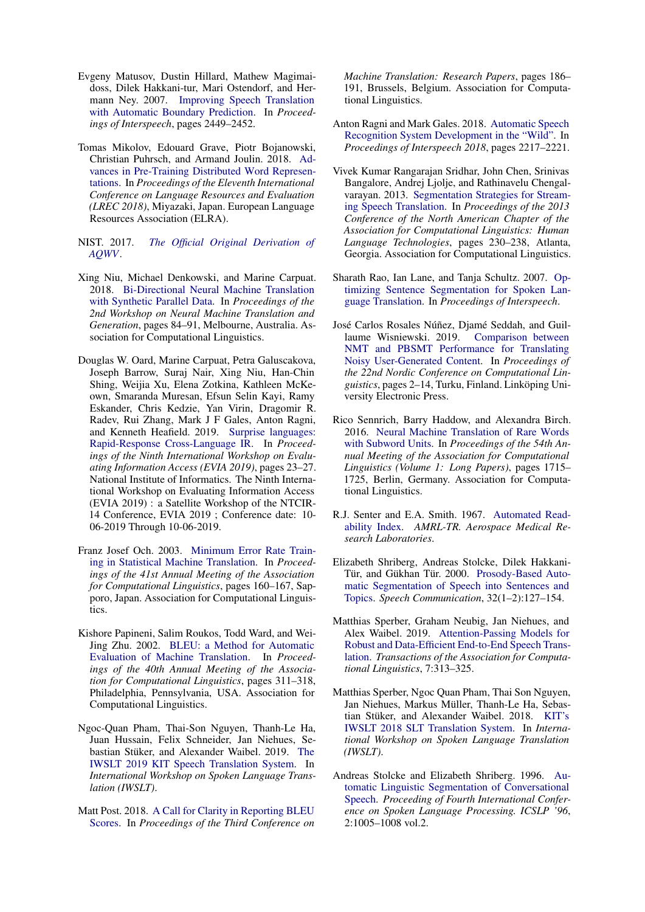- <span id="page-10-0"></span>Evgeny Matusov, Dustin Hillard, Mathew Magimaidoss, Dilek Hakkani-tur, Mari Ostendorf, and Hermann Ney. 2007. [Improving Speech Translation](https://isca-speech.org/archive/archive_papers/interspeech_2007/i07_2449.pdf) [with Automatic Boundary Prediction.](https://isca-speech.org/archive/archive_papers/interspeech_2007/i07_2449.pdf) In *Proceedings of Interspeech*, pages 2449–2452.
- <span id="page-10-8"></span>Tomas Mikolov, Edouard Grave, Piotr Bojanowski, Christian Puhrsch, and Armand Joulin. 2018. [Ad](https://www.aclweb.org/anthology/L18-1008)[vances in Pre-Training Distributed Word Represen](https://www.aclweb.org/anthology/L18-1008)[tations.](https://www.aclweb.org/anthology/L18-1008) In *Proceedings of the Eleventh International Conference on Language Resources and Evaluation (LREC 2018)*, Miyazaki, Japan. European Language Resources Association (ELRA).
- <span id="page-10-16"></span>NIST. 2017. *[The Official Original Derivation of](https://www.nist.gov/system/files/documents/2017/10/26/aqwv_derivation.pdf) [AQWV](https://www.nist.gov/system/files/documents/2017/10/26/aqwv_derivation.pdf)*.
- <span id="page-10-12"></span>Xing Niu, Michael Denkowski, and Marine Carpuat. 2018. [Bi-Directional Neural Machine Translation](https://doi.org/10.18653/v1/W18-2710) [with Synthetic Parallel Data.](https://doi.org/10.18653/v1/W18-2710) In *Proceedings of the 2nd Workshop on Neural Machine Translation and Generation*, pages 84–91, Melbourne, Australia. Association for Computational Linguistics.
- <span id="page-10-10"></span>Douglas W. Oard, Marine Carpuat, Petra Galuscakova, Joseph Barrow, Suraj Nair, Xing Niu, Han-Chin Shing, Weijia Xu, Elena Zotkina, Kathleen McKeown, Smaranda Muresan, Efsun Selin Kayi, Ramy Eskander, Chris Kedzie, Yan Virin, Dragomir R. Radev, Rui Zhang, Mark J F Gales, Anton Ragni, and Kenneth Heafield. 2019. [Surprise languages:](https://terpconnect.umd.edu/~oard/pdf/evia19.pdf) [Rapid-Response Cross-Language IR.](https://terpconnect.umd.edu/~oard/pdf/evia19.pdf) In *Proceedings of the Ninth International Workshop on Evaluating Information Access (EVIA 2019)*, pages 23–27. National Institute of Informatics. The Ninth International Workshop on Evaluating Information Access (EVIA 2019) : a Satellite Workshop of the NTCIR-14 Conference, EVIA 2019 ; Conference date: 10- 06-2019 Through 10-06-2019.
- <span id="page-10-13"></span>Franz Josef Och. 2003. [Minimum Error Rate Train](https://doi.org/10.3115/1075096.1075117)[ing in Statistical Machine Translation.](https://doi.org/10.3115/1075096.1075117) In *Proceedings of the 41st Annual Meeting of the Association for Computational Linguistics*, pages 160–167, Sapporo, Japan. Association for Computational Linguistics.
- <span id="page-10-14"></span>Kishore Papineni, Salim Roukos, Todd Ward, and Wei-Jing Zhu. 2002. [BLEU: a Method for Automatic](https://doi.org/10.3115/1073083.1073135) [Evaluation of Machine Translation.](https://doi.org/10.3115/1073083.1073135) In *Proceedings of the 40th Annual Meeting of the Association for Computational Linguistics*, pages 311–318, Philadelphia, Pennsylvania, USA. Association for Computational Linguistics.
- <span id="page-10-5"></span>Ngoc-Quan Pham, Thai-Son Nguyen, Thanh-Le Ha, Juan Hussain, Felix Schneider, Jan Niehues, Se-bastian Stüker, and Alexander Waibel. 2019. [The](http://isl.anthropomatik.kit.edu/pdf/Pham2019b.pdf) [IWSLT 2019 KIT Speech Translation System.](http://isl.anthropomatik.kit.edu/pdf/Pham2019b.pdf) In *International Workshop on Spoken Language Translation (IWSLT)*.
- <span id="page-10-15"></span>Matt Post. 2018. [A Call for Clarity in Reporting BLEU](https://doi.org/10.18653/v1/W18-6319) [Scores.](https://doi.org/10.18653/v1/W18-6319) In *Proceedings of the Third Conference on*

*Machine Translation: Research Papers*, pages 186– 191, Brussels, Belgium. Association for Computational Linguistics.

- <span id="page-10-11"></span>Anton Ragni and Mark Gales. 2018. [Automatic Speech](https://doi.org/10.21437/Interspeech.2018-1085) [Recognition System Development in the "Wild".](https://doi.org/10.21437/Interspeech.2018-1085) In *Proceedings of Interspeech 2018*, pages 2217–2221.
- <span id="page-10-2"></span>Vivek Kumar Rangarajan Sridhar, John Chen, Srinivas Bangalore, Andrej Ljolje, and Rathinavelu Chengalvarayan. 2013. [Segmentation Strategies for Stream](https://www.aclweb.org/anthology/N13-1023)[ing Speech Translation.](https://www.aclweb.org/anthology/N13-1023) In *Proceedings of the 2013 Conference of the North American Chapter of the Association for Computational Linguistics: Human Language Technologies*, pages 230–238, Atlanta, Georgia. Association for Computational Linguistics.
- <span id="page-10-1"></span>Sharath Rao, Ian Lane, and Tanja Schultz. 2007. [Op](https://www.csl.uni-bremen.de/cms/images/documents/publications/RaoSchultz_Interspeech2007.pdf)[timizing Sentence Segmentation for Spoken Lan](https://www.csl.uni-bremen.de/cms/images/documents/publications/RaoSchultz_Interspeech2007.pdf)[guage Translation.](https://www.csl.uni-bremen.de/cms/images/documents/publications/RaoSchultz_Interspeech2007.pdf) In *Proceedings of Interspeech*.
- <span id="page-10-17"></span>José Carlos Rosales Núñez, Djamé Seddah, and Guillaume Wisniewski. 2019. [Comparison between](https://www.aclweb.org/anthology/W19-6101) [NMT and PBSMT Performance for Translating](https://www.aclweb.org/anthology/W19-6101) [Noisy User-Generated Content.](https://www.aclweb.org/anthology/W19-6101) In *Proceedings of the 22nd Nordic Conference on Computational Linguistics*, pages 2–14, Turku, Finland. Linköping University Electronic Press.
- <span id="page-10-9"></span>Rico Sennrich, Barry Haddow, and Alexandra Birch. 2016. [Neural Machine Translation of Rare Words](https://doi.org/10.18653/v1/P16-1162) [with Subword Units.](https://doi.org/10.18653/v1/P16-1162) In *Proceedings of the 54th Annual Meeting of the Association for Computational Linguistics (Volume 1: Long Papers)*, pages 1715– 1725, Berlin, Germany. Association for Computational Linguistics.
- <span id="page-10-18"></span>R.J. Senter and E.A. Smith. 1967. [Automated Read](https://apps.dtic.mil/dtic/tr/fulltext/u2/667273.pdf)[ability Index.](https://apps.dtic.mil/dtic/tr/fulltext/u2/667273.pdf) *AMRL-TR. Aerospace Medical Research Laboratories*.
- <span id="page-10-3"></span>Elizabeth Shriberg, Andreas Stolcke, Dilek Hakkani-Tür, and Gükhan Tür. 2000. [Prosody-Based Auto](https://doi.org/10.1016/S0167-6393(00)00028-5)[matic Segmentation of Speech into Sentences and](https://doi.org/10.1016/S0167-6393(00)00028-5) [Topics.](https://doi.org/10.1016/S0167-6393(00)00028-5) *Speech Communication*, 32(1–2):127–154.
- <span id="page-10-6"></span>Matthias Sperber, Graham Neubig, Jan Niehues, and Alex Waibel. 2019. [Attention-Passing Models for](https://doi.org/10.1162/tacl_a_00270) [Robust and Data-Efficient End-to-End Speech Trans](https://doi.org/10.1162/tacl_a_00270)[lation.](https://doi.org/10.1162/tacl_a_00270) *Transactions of the Association for Computational Linguistics*, 7:313–325.
- <span id="page-10-4"></span>Matthias Sperber, Ngoc Quan Pham, Thai Son Nguyen, Jan Niehues, Markus Müller, Thanh-Le Ha, Sebas-tian Stüker, and Alexander Waibel. 2018. [KIT's](https://isl.anthropomatik.kit.edu/downloads/Sperber2018a.pdf) [IWSLT 2018 SLT Translation System.](https://isl.anthropomatik.kit.edu/downloads/Sperber2018a.pdf) In *International Workshop on Spoken Language Translation (IWSLT)*.
- <span id="page-10-7"></span>Andreas Stolcke and Elizabeth Shriberg. 1996. [Au](http://www.asel.udel.edu/icslp/cdrom/vol2/715/a715.pdf)[tomatic Linguistic Segmentation of Conversational](http://www.asel.udel.edu/icslp/cdrom/vol2/715/a715.pdf) [Speech.](http://www.asel.udel.edu/icslp/cdrom/vol2/715/a715.pdf) *Proceeding of Fourth International Conference on Spoken Language Processing. ICSLP '96*, 2:1005–1008 vol.2.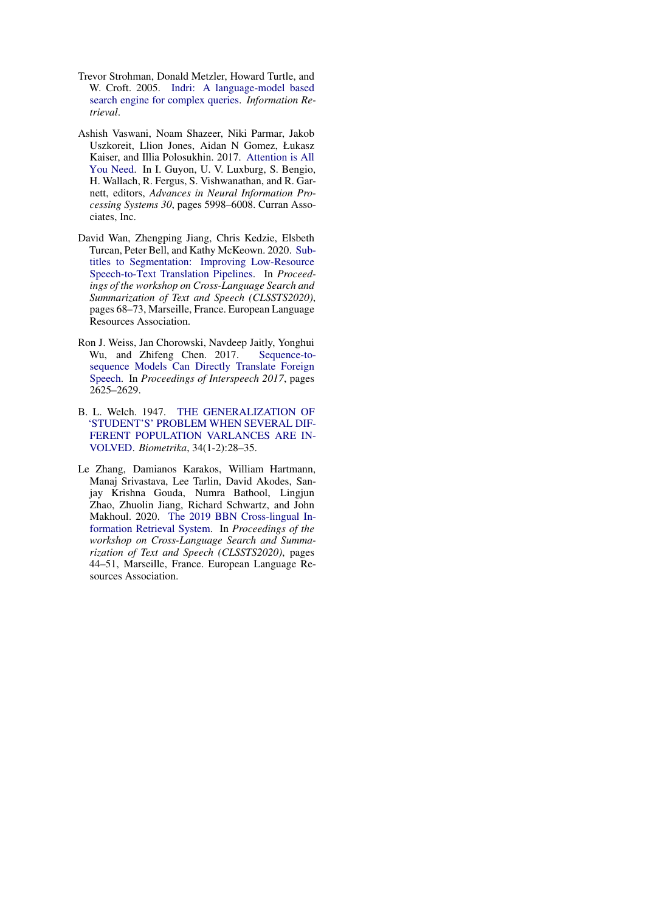- <span id="page-11-3"></span>Trevor Strohman, Donald Metzler, Howard Turtle, and W. Croft. 2005. [Indri: A language-model based](http://ciir.cs.umass.edu/pubfiles/ir-407.pdf) [search engine for complex queries.](http://ciir.cs.umass.edu/pubfiles/ir-407.pdf) *Information Retrieval*.
- <span id="page-11-2"></span>Ashish Vaswani, Noam Shazeer, Niki Parmar, Jakob Uszkoreit, Llion Jones, Aidan N Gomez, Łukasz Kaiser, and Illia Polosukhin. 2017. [Attention is All](http://papers.nips.cc/paper/7181-attention-is-all-you-need.pdf) [You Need.](http://papers.nips.cc/paper/7181-attention-is-all-you-need.pdf) In I. Guyon, U. V. Luxburg, S. Bengio, H. Wallach, R. Fergus, S. Vishwanathan, and R. Garnett, editors, *Advances in Neural Information Processing Systems 30*, pages 5998–6008. Curran Associates, Inc.
- <span id="page-11-0"></span>David Wan, Zhengping Jiang, Chris Kedzie, Elsbeth Turcan, Peter Bell, and Kathy McKeown. 2020. [Sub](https://www.aclweb.org/anthology/2020.clssts-1.11)[titles to Segmentation: Improving Low-Resource](https://www.aclweb.org/anthology/2020.clssts-1.11) [Speech-to-Text Translation Pipelines.](https://www.aclweb.org/anthology/2020.clssts-1.11) In *Proceedings of the workshop on Cross-Language Search and Summarization of Text and Speech (CLSSTS2020)*, pages 68–73, Marseille, France. European Language Resources Association.
- <span id="page-11-1"></span>Ron J. Weiss, Jan Chorowski, Navdeep Jaitly, Yonghui Wu, and Zhifeng Chen. 2017. [Sequence-to](https://doi.org/10.21437/Interspeech.2017-503)[sequence Models Can Directly Translate Foreign](https://doi.org/10.21437/Interspeech.2017-503) [Speech.](https://doi.org/10.21437/Interspeech.2017-503) In *Proceedings of Interspeech 2017*, pages 2625–2629.
- <span id="page-11-4"></span>B. L. Welch. 1947. [THE GENERALIZATION OF](https://doi.org/10.1093/biomet/34.1-2.28) ['STUDENT'S' PROBLEM WHEN SEVERAL DIF-](https://doi.org/10.1093/biomet/34.1-2.28)[FERENT POPULATION VARLANCES ARE IN-](https://doi.org/10.1093/biomet/34.1-2.28)[VOLVED.](https://doi.org/10.1093/biomet/34.1-2.28) *Biometrika*, 34(1-2):28–35.
- <span id="page-11-5"></span>Le Zhang, Damianos Karakos, William Hartmann, Manaj Srivastava, Lee Tarlin, David Akodes, Sanjay Krishna Gouda, Numra Bathool, Lingjun Zhao, Zhuolin Jiang, Richard Schwartz, and John Makhoul. 2020. [The 2019 BBN Cross-lingual In](https://www.aclweb.org/anthology/2020.clssts-1.8)[formation Retrieval System.](https://www.aclweb.org/anthology/2020.clssts-1.8) In *Proceedings of the workshop on Cross-Language Search and Summarization of Text and Speech (CLSSTS2020)*, pages 44–51, Marseille, France. European Language Resources Association.